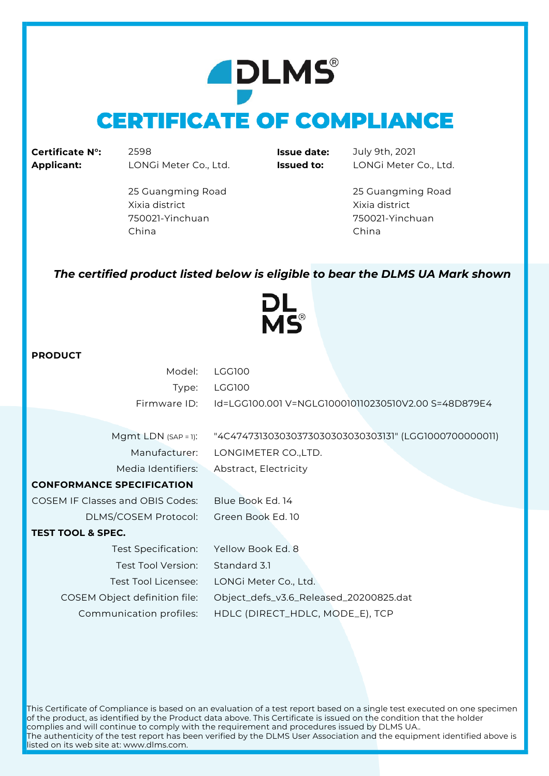# **ADLMS CERTIFICATE OF COMPLIANCE**

**Certificate N°:** 2598 **Issue date:** July 9th, 2021 **Applicant:** LONGi Meter Co., Ltd. **Issued to:** LONGi Meter Co., Ltd.

25 Guangming Road 25 Guangming Road Xixia district Xixia district 750021-Yinchuan 750021-Yinchuan China China

#### *The certified product listed below is eligible to bear the DLMS UA Mark shown*

**VIC®** 

#### **PRODUCT**

| Model:                                  | <b>LGG100</b>                                         |
|-----------------------------------------|-------------------------------------------------------|
| Type:                                   | LGG100                                                |
| Firmware ID:                            | Id=LGG100.001 V=NGLG100010110230510V2.00 S=48D879E4   |
|                                         |                                                       |
| Mgmt LDN $(SAP = 1)$ :                  | "4C474731303030373030303030303131" (LGG1000700000011) |
| Manufacturer:                           | LONGIMETER CO., LTD.                                  |
| Media Identifiers:                      | Abstract, Electricity                                 |
| <b>CONFORMANCE SPECIFICATION</b>        |                                                       |
| <b>COSEM IF Classes and OBIS Codes:</b> | Blue Book Ed. 14                                      |
| DLMS/COSEM Protocol:                    | Green Book Ed. 10                                     |
| <b>TEST TOOL &amp; SPEC.</b>            |                                                       |
| Test Specification:                     | Yellow Book Ed. 8                                     |
| Test Tool Version:                      | Standard 3.1                                          |
| Test Tool Licensee:                     | LONGi Meter Co., Ltd.                                 |
| COSEM Object definition file:           | Object_defs_v3.6_Released_20200825.dat                |
|                                         |                                                       |

Communication profiles: HDLC (DIRECT\_HDLC, MODE\_E), TCP

This Certificate of Compliance is based on an evaluation of a test report based on a single test executed on one specimen of the product, as identified by the Product data above. This Certificate is issued on the condition that the holder complies and will continue to comply with the requirement and procedures issued by DLMS UA.. The authenticity of the test report has been verified by the DLMS User Association and the equipment identified above is listed on its web site at: www.dlms.com.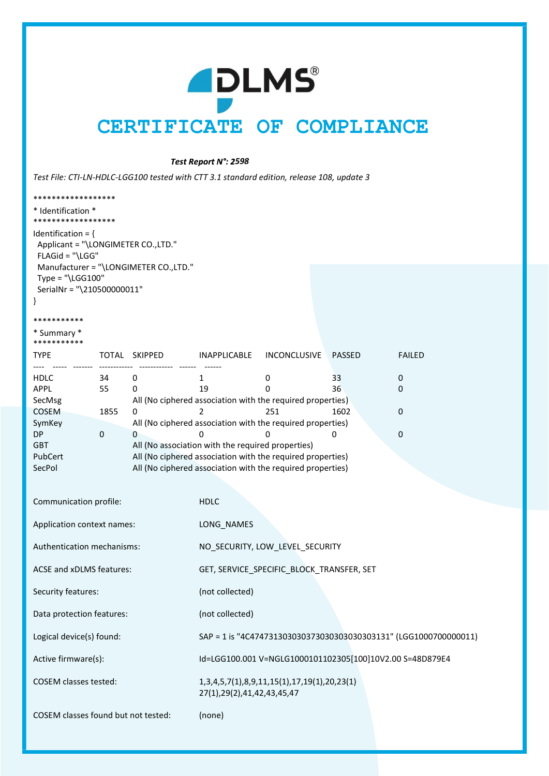# **ADLMS** CERTIFICATE OF COMPLIANCE

Test Report N°: 2598

Test File: CTI-LN-HDLC-LGG100 tested with CTT 3.1 standard edition, release 108, update 3

| ******************                                                                      |                     |                                                                  |                                             |                                                            |               |               |  |  |  |  |
|-----------------------------------------------------------------------------------------|---------------------|------------------------------------------------------------------|---------------------------------------------|------------------------------------------------------------|---------------|---------------|--|--|--|--|
| * Identification *<br>******************                                                |                     |                                                                  |                                             |                                                            |               |               |  |  |  |  |
| Identification = $\{$<br>Applicant = "\LONGIMETER CO.,LTD."<br>FLAGid = "\LGG"          |                     |                                                                  |                                             |                                                            |               |               |  |  |  |  |
| Manufacturer = "\LONGIMETER CO.,LTD."<br>Type = "\LGG100"<br>SerialNr = "\210500000011" |                     |                                                                  |                                             |                                                            |               |               |  |  |  |  |
|                                                                                         |                     |                                                                  |                                             |                                                            |               |               |  |  |  |  |
| ***********<br>* Summary *<br>***********                                               |                     |                                                                  |                                             |                                                            |               |               |  |  |  |  |
| <b>TYPE</b>                                                                             |                     | TOTAL SKIPPED                                                    | INAPPLICABLE                                | <b>INCONCLUSIVE</b>                                        | <b>PASSED</b> | <b>FAILED</b> |  |  |  |  |
| <b>HDLC</b>                                                                             | 34                  | 0                                                                | 1                                           | 0                                                          | 33            | 0             |  |  |  |  |
| APPL                                                                                    | 55                  | 0                                                                | 19                                          | 0                                                          | 36            | 0             |  |  |  |  |
| SecMsg                                                                                  |                     |                                                                  |                                             | All (No ciphered association with the required properties) |               |               |  |  |  |  |
| COSEM                                                                                   | 1855                | 0                                                                | $\overline{2}$                              | 251                                                        | 1602          | 0             |  |  |  |  |
| SymKey                                                                                  |                     |                                                                  |                                             | All (No ciphered association with the required properties) |               |               |  |  |  |  |
| DP                                                                                      | $\mathsf{O}\xspace$ | $\mathbf{0}$                                                     | 0                                           | 0                                                          | 0             | 0             |  |  |  |  |
| <b>GBT</b>                                                                              |                     | All (No association with the required properties)                |                                             |                                                            |               |               |  |  |  |  |
| PubCert                                                                                 |                     |                                                                  |                                             | All (No ciphered association with the required properties) |               |               |  |  |  |  |
| SecPol                                                                                  |                     |                                                                  |                                             | All (No ciphered association with the required properties) |               |               |  |  |  |  |
|                                                                                         |                     |                                                                  |                                             |                                                            |               |               |  |  |  |  |
|                                                                                         |                     |                                                                  |                                             |                                                            |               |               |  |  |  |  |
| Communication profile:                                                                  |                     |                                                                  | <b>HDLC</b>                                 |                                                            |               |               |  |  |  |  |
| Application context names:                                                              |                     | LONG_NAMES                                                       |                                             |                                                            |               |               |  |  |  |  |
| Authentication mechanisms:                                                              |                     | NO_SECURITY, LOW_LEVEL_SECURITY                                  |                                             |                                                            |               |               |  |  |  |  |
| ACSE and xDLMS features:                                                                |                     | GET, SERVICE_SPECIFIC_BLOCK_TRANSFER, SET                        |                                             |                                                            |               |               |  |  |  |  |
| Security features:                                                                      |                     | (not collected)                                                  |                                             |                                                            |               |               |  |  |  |  |
| Data protection features:                                                               |                     |                                                                  | (not collected)                             |                                                            |               |               |  |  |  |  |
| Logical device(s) found:                                                                |                     | SAP = 1 is "4C474731303030373030303030303131" (LGG1000700000011) |                                             |                                                            |               |               |  |  |  |  |
| Active firmware(s):                                                                     |                     | Id=LGG100.001 V=NGLG1000101102305[100]10V2.00 S=48D879E4         |                                             |                                                            |               |               |  |  |  |  |
| <b>COSEM</b> classes tested:                                                            |                     | 27(1), 29(2), 41, 42, 43, 45, 47                                 | 1,3,4,5,7(1),8,9,11,15(1),17,19(1),20,23(1) |                                                            |               |               |  |  |  |  |
| COSEM classes found but not tested:                                                     |                     |                                                                  | (none)                                      |                                                            |               |               |  |  |  |  |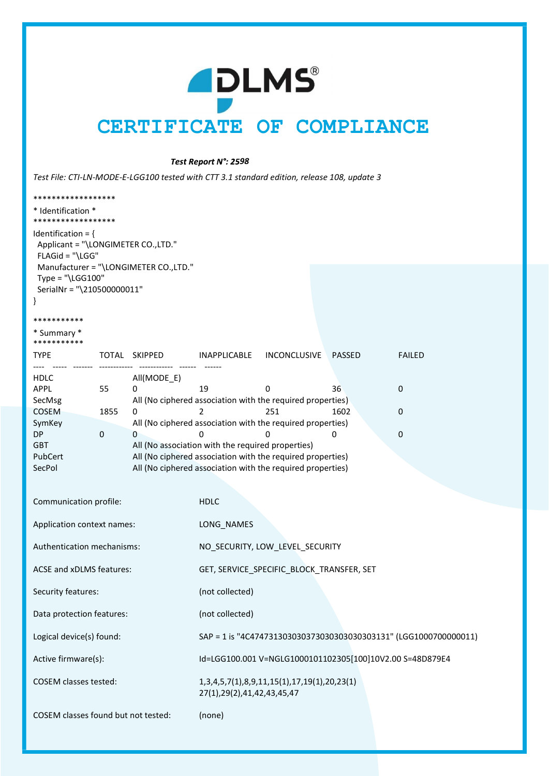### **PLMS** CERTIFICATE OF COMPLIANCE

Test Report N°: 2598

Test File: CTI-LN-MODE-E-LGG100 tested with CTT 3.1 standard edition, release 108, update 3

| ******************                                                                                                                                                                              |             |                                                                                                                                                                               |                                  |                                                                 |               |                                                                  |  |  |
|-------------------------------------------------------------------------------------------------------------------------------------------------------------------------------------------------|-------------|-------------------------------------------------------------------------------------------------------------------------------------------------------------------------------|----------------------------------|-----------------------------------------------------------------|---------------|------------------------------------------------------------------|--|--|
| * Identification *                                                                                                                                                                              |             |                                                                                                                                                                               |                                  |                                                                 |               |                                                                  |  |  |
| ******************<br>Identification = $\{$<br>Applicant = "\LONGIMETER CO.,LTD."<br>FLAGid = "\LGG"<br>Manufacturer = "\LONGIMETER CO.,LTD."<br>Type = "\LGG100"<br>SerialNr = "\210500000011" |             |                                                                                                                                                                               |                                  |                                                                 |               |                                                                  |  |  |
| ***********                                                                                                                                                                                     |             |                                                                                                                                                                               |                                  |                                                                 |               |                                                                  |  |  |
| * Summary *<br>***********                                                                                                                                                                      |             |                                                                                                                                                                               |                                  |                                                                 |               |                                                                  |  |  |
| <b>TYPE</b>                                                                                                                                                                                     |             | TOTAL SKIPPED                                                                                                                                                                 | INAPPLICABLE                     | INCONCLUSIVE                                                    | <b>PASSED</b> | <b>FAILED</b>                                                    |  |  |
| <b>HDLC</b><br><b>APPL</b><br>SecMsg                                                                                                                                                            | 55          | All(MODE_E)<br>0                                                                                                                                                              | 19                               | 0<br>All (No ciphered association with the required properties) | 36            | 0                                                                |  |  |
| COSEM                                                                                                                                                                                           | 1855        | 0                                                                                                                                                                             | 2                                | 251                                                             | 1602          | 0                                                                |  |  |
| SymKey<br>DP.                                                                                                                                                                                   | $\mathbf 0$ | $\Omega$                                                                                                                                                                      | 0                                | All (No ciphered association with the required properties)<br>0 | 0             | 0                                                                |  |  |
| <b>GBT</b><br>PubCert<br>SecPol                                                                                                                                                                 |             | All (No association with the required properties)<br>All (No ciphered association with the required properties)<br>All (No ciphered association with the required properties) |                                  |                                                                 |               |                                                                  |  |  |
| Communication profile:                                                                                                                                                                          |             |                                                                                                                                                                               | <b>HDLC</b>                      |                                                                 |               |                                                                  |  |  |
| Application context names:                                                                                                                                                                      |             |                                                                                                                                                                               | LONG_NAMES                       |                                                                 |               |                                                                  |  |  |
| Authentication mechanisms:                                                                                                                                                                      |             |                                                                                                                                                                               |                                  | NO SECURITY, LOW LEVEL SECURITY                                 |               |                                                                  |  |  |
| ACSE and xDLMS features:                                                                                                                                                                        |             | GET, SERVICE SPECIFIC BLOCK TRANSFER, SET                                                                                                                                     |                                  |                                                                 |               |                                                                  |  |  |
| Security features:                                                                                                                                                                              |             |                                                                                                                                                                               | (not collected)                  |                                                                 |               |                                                                  |  |  |
| Data protection features:                                                                                                                                                                       |             |                                                                                                                                                                               | (not collected)                  |                                                                 |               |                                                                  |  |  |
| Logical device(s) found:                                                                                                                                                                        |             |                                                                                                                                                                               |                                  |                                                                 |               | SAP = 1 is "4C474731303030373030303030303131" (LGG1000700000011) |  |  |
| Active firmware(s):                                                                                                                                                                             |             | Id=LGG100.001 V=NGLG1000101102305[100]10V2.00 S=48D879E4                                                                                                                      |                                  |                                                                 |               |                                                                  |  |  |
| <b>COSEM</b> classes tested:                                                                                                                                                                    |             |                                                                                                                                                                               | 27(1), 29(2), 41, 42, 43, 45, 47 | 1,3,4,5,7(1),8,9,11,15(1),17,19(1),20,23(1)                     |               |                                                                  |  |  |
| COSEM classes found but not tested:                                                                                                                                                             |             |                                                                                                                                                                               | (none)                           |                                                                 |               |                                                                  |  |  |